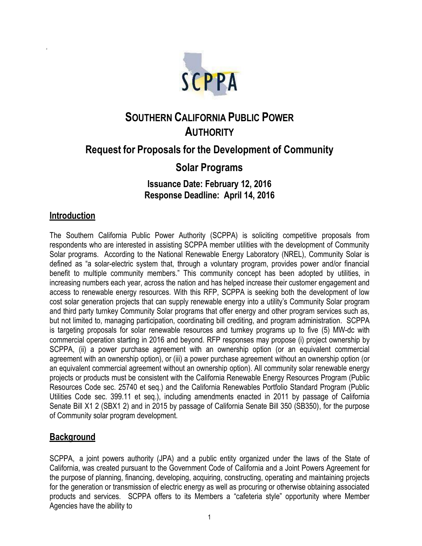

# **SOUTHERN CALIFORNIA PUBLIC POWER AUTHORITY**

## **Request for Proposals for the Development of Community**

### **Solar Programs**

#### **Issuance Date: February 12, 2016 Response Deadline: April 14, 2016**

#### **Introduction**

d

The Southern California Public Power Authority (SCPPA) is soliciting competitive proposals from respondents who are interested in assisting SCPPA member utilities with the development of Community Solar programs. According to the National Renewable Energy Laboratory (NREL), Community Solar is defined as "a solar-electric system that, through a voluntary program, provides power and/or financial benefit to multiple community members." This community concept has been adopted by utilities, in increasing numbers each year, across the nation and has helped increase their customer engagement and access to renewable energy resources. With this RFP, SCPPA is seeking both the development of low cost solar generation projects that can supply renewable energy into a utility"s Community Solar program and third party turnkey Community Solar programs that offer energy and other program services such as, but not limited to, managing participation, coordinating bill crediting, and program administration. SCPPA is targeting proposals for solar renewable resources and turnkey programs up to five (5) MW-dc with commercial operation starting in 2016 and beyond. RFP responses may propose (i) project ownership by SCPPA, (ii) a power purchase agreement with an ownership option (or an equivalent commercial agreement with an ownership option), or (iii) a power purchase agreement without an ownership option (or an equivalent commercial agreement without an ownership option). All community solar renewable energy projects or products must be consistent with the California Renewable Energy Resources Program (Public Resources Code sec. 25740 et seq.) and the California Renewables Portfolio Standard Program (Public Utilities Code sec. 399.11 et seq.), including amendments enacted in 2011 by passage of California Senate Bill X1 2 (SBX1 2) and in 2015 by passage of California Senate Bill 350 (SB350), for the purpose of Community solar program development.

#### **Background**

SCPPA, a joint powers authority (JPA) and a public entity organized under the laws of the State of California, was created pursuant to the Government Code of California and a Joint Powers Agreement for the purpose of planning, financing, developing, acquiring, constructing, operating and maintaining projects for the generation or transmission of electric energy as well as procuring or otherwise obtaining associated products and services. SCPPA offers to its Members a "cafeteria style" opportunity where Member Agencies have the ability to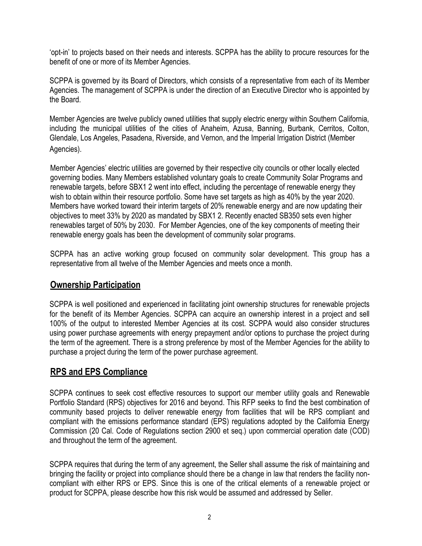"opt-in" to projects based on their needs and interests. SCPPA has the ability to procure resources for the benefit of one or more of its Member Agencies.

SCPPA is governed by its Board of Directors, which consists of a representative from each of its Member Agencies. The management of SCPPA is under the direction of an Executive Director who is appointed by the Board.

Member Agencies are twelve publicly owned utilities that supply electric energy within Southern California, including the municipal utilities of the cities of Anaheim, Azusa, Banning, Burbank, Cerritos, Colton, Glendale, Los Angeles, Pasadena, Riverside, and Vernon, and the Imperial Irrigation District (Member Agencies).

Member Agencies" electric utilities are governed by their respective city councils or other locally elected governing bodies. Many Members established voluntary goals to create Community Solar Programs and renewable targets, before SBX1 2 went into effect, including the percentage of renewable energy they wish to obtain within their resource portfolio. Some have set targets as high as 40% by the year 2020. Members have worked toward their interim targets of 20% renewable energy and are now updating their objectives to meet 33% by 2020 as mandated by SBX1 2. Recently enacted SB350 sets even higher renewables target of 50% by 2030. For Member Agencies, one of the key components of meeting their renewable energy goals has been the development of community solar programs.

SCPPA has an active working group focused on community solar development. This group has a representative from all twelve of the Member Agencies and meets once a month.

#### **Ownership Participation**

SCPPA is well positioned and experienced in facilitating joint ownership structures for renewable projects for the benefit of its Member Agencies. SCPPA can acquire an ownership interest in a project and sell 100% of the output to interested Member Agencies at its cost. SCPPA would also consider structures using power purchase agreements with energy prepayment and/or options to purchase the project during the term of the agreement. There is a strong preference by most of the Member Agencies for the ability to purchase a project during the term of the power purchase agreement.

#### **RPS and EPS Compliance**

SCPPA continues to seek cost effective resources to support our member utility goals and Renewable Portfolio Standard (RPS) objectives for 2016 and beyond. This RFP seeks to find the best combination of community based projects to deliver renewable energy from facilities that will be RPS compliant and compliant with the emissions performance standard (EPS) regulations adopted by the California Energy Commission (20 Cal. Code of Regulations section 2900 et seq.) upon commercial operation date (COD) and throughout the term of the agreement.

SCPPA requires that during the term of any agreement, the Seller shall assume the risk of maintaining and bringing the facility or project into compliance should there be a change in law that renders the facility noncompliant with either RPS or EPS. Since this is one of the critical elements of a renewable project or product for SCPPA, please describe how this risk would be assumed and addressed by Seller.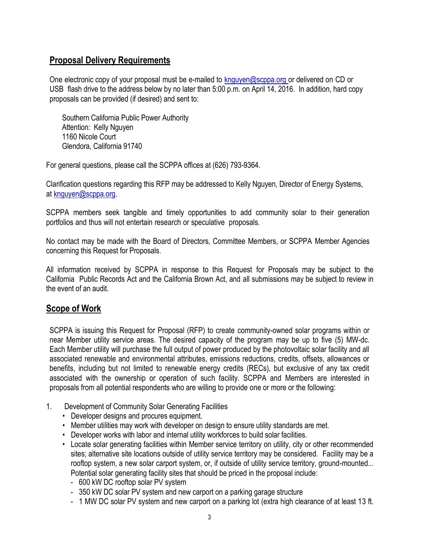#### **Proposal Delivery Requirements**

One electronic copy of your proposal must be e-mailed to [knguyen@scppa.org](mailto:knguyen@scppa.org) or delivered on CD or USB flash drive to the address below by no later than 5:00 p.m. on April 14, 2016. In addition, hard copy proposals can be provided (if desired) and sent to:

Southern California Public Power Authority Attention: Kelly Nguyen 1160 Nicole Court Glendora, California 91740

For general questions, please call the SCPPA offices at (626) 793-9364.

Clarification questions regarding this RFP may be addressed to Kelly Nguyen, Director of Energy Systems, at [knguyen@scppa.org.](mailto:knguyen@scppa.org)

SCPPA members seek tangible and timely opportunities to add community solar to their generation portfolios and thus will not entertain research or speculative proposals.

No contact may be made with the Board of Directors, Committee Members, or SCPPA Member Agencies concerning this Request for Proposals.

All information received by SCPPA in response to this Request for Proposals may be subject to the California Public Records Act and the California Brown Act, and all submissions may be subject to review in the event of an audit.

#### **Scope of Work**

SCPPA is issuing this Request for Proposal (RFP) to create community-owned solar programs within or near Member utility service areas. The desired capacity of the program may be up to five (5) MW-dc. Each Member utility will purchase the full output of power produced by the photovoltaic solar facility and all associated renewable and environmental attributes, emissions reductions, credits, offsets, allowances or benefits, including but not limited to renewable energy credits (RECs), but exclusive of any tax credit associated with the ownership or operation of such facility. SCPPA and Members are interested in proposals from all potential respondents who are willing to provide one or more or the following:

- 1. Development of Community Solar Generating Facilities
	- Developer designs and procures equipment.
	- Member utilities may work with developer on design to ensure utility standards are met.
	- Developer works with labor and internal utility workforces to build solar facilities.
	- Locate solar generating facilities within Member service territory on utility, city or other recommended sites; alternative site locations outside of utility service territory may be considered. Facility may be a rooftop system, a new solar carport system, or, if outside of utility service territory, ground-mounted... Potential solar generating facility sites that should be priced in the proposal include:
		- 600 kW DC rooftop solar PV system
		- 350 kW DC solar PV system and new carport on a parking garage structure
		- 1 MW DC solar PV system and new carport on a parking lot (extra high clearance of at least 13 ft.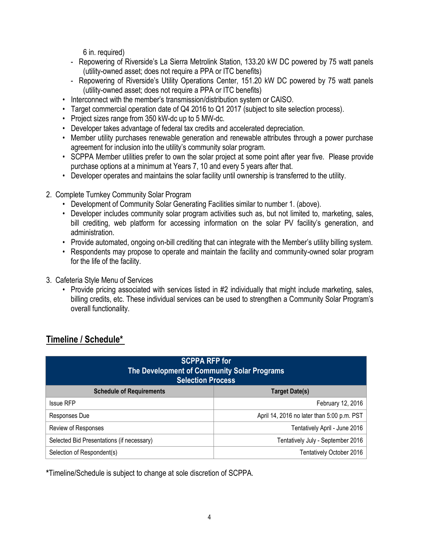6 in. required)

- Repowering of Riverside's La Sierra Metrolink Station, 133.20 kW DC powered by 75 watt panels (utility-owned asset; does not require a PPA or ITC benefits)
- Repowering of Riverside's Utility Operations Center, 151.20 kW DC powered by 75 watt panels (utility-owned asset; does not require a PPA or ITC benefits)
- Interconnect with the member"s transmission/distribution system or CAISO.
- Target commercial operation date of Q4 2016 to Q1 2017 (subject to site selection process).
- Project sizes range from 350 kW-dc up to 5 MW-dc.
- Developer takes advantage of federal tax credits and accelerated depreciation.
- Member utility purchases renewable generation and renewable attributes through a power purchase agreement for inclusion into the utility"s community solar program.
- SCPPA Member utilities prefer to own the solar project at some point after year five. Please provide purchase options at a minimum at Years 7, 10 and every 5 years after that.
- Developer operates and maintains the solar facility until ownership is transferred to the utility.
- 2. Complete Turnkey Community Solar Program
	- Development of Community Solar Generating Facilities similar to number 1. (above).
	- Developer includes community solar program activities such as, but not limited to, marketing, sales, bill crediting, web platform for accessing information on the solar PV facility's generation, and administration.
	- Provide automated, ongoing on-bill crediting that can integrate with the Member's utility billing system.
	- Respondents may propose to operate and maintain the facility and community-owned solar program for the life of the facility.
- 3. Cafeteria Style Menu of Services
	- Provide pricing associated with services listed in #2 individually that might include marketing, sales, billing credits, etc. These individual services can be used to strengthen a Community Solar Program's overall functionality.

### **Timeline / Schedule\***

| <b>SCPPA RFP for</b><br>The Development of Community Solar Programs<br><b>Selection Process</b> |                                            |
|-------------------------------------------------------------------------------------------------|--------------------------------------------|
| <b>Schedule of Requirements</b>                                                                 | <b>Target Date(s)</b>                      |
| <b>Issue RFP</b>                                                                                | February 12, 2016                          |
| Responses Due                                                                                   | April 14, 2016 no later than 5:00 p.m. PST |
| Review of Responses                                                                             | Tentatively April - June 2016              |
| Selected Bid Presentations (if necessary)                                                       | Tentatively July - September 2016          |
| Selection of Respondent(s)                                                                      | Tentatively October 2016                   |

**\***Timeline/Schedule is subject to change at sole discretion of SCPPA.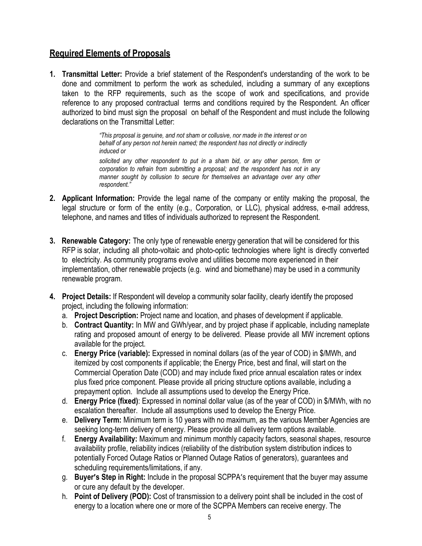#### **Required Elements of Proposals**

**1. Transmittal Letter:** Provide a brief statement of the Respondent's understanding of the work to be done and commitment to perform the work as scheduled, including a summary of any exceptions taken to the RFP requirements, such as the scope of work and specifications, and provide reference to any proposed contractual terms and conditions required by the Respondent. An officer authorized to bind must sign the proposal on behalf of the Respondent and must include the following declarations on the Transmittal Letter:

> *"This proposal is genuine, and not sham or collusive, nor made in the interest or on behalf of any person not herein named; the respondent has not directly or indirectly induced or*

*solicited any other respondent to put in a sham bid, or any other person, firm or corporation to refrain from submitting a proposal; and the respondent has not in any manner sought by collusion to secure for themselves an advantage over any other respondent."*

- **2. Applicant Information:** Provide the legal name of the company or entity making the proposal, the legal structure or form of the entity (e.g., Corporation, or LLC), physical address, e-mail address, telephone, and names and titles of individuals authorized to represent the Respondent.
- **3. Renewable Category:** The only type of renewable energy generation that will be considered for this RFP is solar, including all photo-voltaic and photo-optic technologies where light is directly converted to electricity. As community programs evolve and utilities become more experienced in their implementation, other renewable projects (e.g. wind and biomethane) may be used in a community renewable program.
- **4. Project Details:** If Respondent will develop a community solar facility, clearly identify the proposed project, including the following information:
	- a. **Project Description:** Project name and location, and phases of development if applicable.
	- b. **Contract Quantity:** In MW and GWh/year, and by project phase if applicable, including nameplate rating and proposed amount of energy to be delivered. Please provide all MW increment options available for the project.
	- c. **Energy Price (variable):** Expressed in nominal dollars (as of the year of COD) in \$/MWh, and itemized by cost components if applicable; the Energy Price, best and final, will start on the Commercial Operation Date (COD) and may include fixed price annual escalation rates or index plus fixed price component. Please provide all pricing structure options available, including a prepayment option. Include all assumptions used to develop the Energy Price.
	- d. **Energy Price (fixed)**: Expressed in nominal dollar value (as of the year of COD) in \$/MWh, with no escalation thereafter. Include all assumptions used to develop the Energy Price.
	- e. **Delivery Term:** Minimum term is 10 years with no maximum, as the various Member Agencies are seeking long-term delivery of energy. Please provide all delivery term options available.
	- f. **Energy Availability:** Maximum and minimum monthly capacity factors, seasonal shapes, resource availability profile, reliability indices (reliability of the distribution system distribution indices to potentially Forced Outage Ratios or Planned Outage Ratios of generators), guarantees and scheduling requirements/limitations, if any.
	- g. **Buyer's Step in Right:** Include in the proposal SCPPA's requirement that the buyer may assume or cure any default by the developer.
	- h. **Point of Delivery (POD):** Cost of transmission to a delivery point shall be included in the cost of energy to a location where one or more of the SCPPA Members can receive energy. The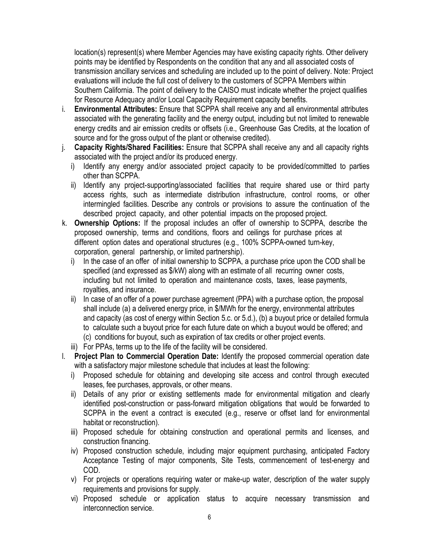location(s) represent(s) where Member Agencies may have existing capacity rights. Other delivery points may be identified by Respondents on the condition that any and all associated costs of transmission ancillary services and scheduling are included up to the point of delivery. Note: Project evaluations will include the full cost of delivery to the customers of SCPPA Members within Southern California. The point of delivery to the CAISO must indicate whether the project qualifies for Resource Adequacy and/or Local Capacity Requirement capacity benefits.

- i. **Environmental Attributes:** Ensure that SCPPA shall receive any and all environmental attributes associated with the generating facility and the energy output, including but not limited to renewable energy credits and air emission credits or offsets (i.e., Greenhouse Gas Credits, at the location of source and for the gross output of the plant or otherwise credited).
- j. **Capacity Rights/Shared Facilities:** Ensure that SCPPA shall receive any and all capacity rights associated with the project and/or its produced energy.
	- i) Identify any energy and/or associated project capacity to be provided/committed to parties other than SCPPA.
	- ii) Identify any project-supporting/associated facilities that require shared use or third party access rights, such as intermediate distribution infrastructure, control rooms, or other intermingled facilities. Describe any controls or provisions to assure the continuation of the described project capacity, and other potential impacts on the proposed project.
- k. **Ownership Options:** If the proposal includes an offer of ownership to SCPPA, describe the proposed ownership, terms and conditions, floors and ceilings for purchase prices at different option dates and operational structures (e.g., 100% SCPPA-owned turn-key, corporation, general partnership, or limited partnership).
	- i) In the case of an offer of initial ownership to SCPPA, a purchase price upon the COD shall be specified (and expressed as \$/kW) along with an estimate of all recurring owner costs, including but not limited to operation and maintenance costs, taxes, lease payments, royalties, and insurance.
	- ii) In case of an offer of a power purchase agreement (PPA) with a purchase option, the proposal shall include (a) a delivered energy price, in \$/MWh for the energy, environmental attributes and capacity (as cost of energy within Section 5.c. or 5.d.), (b) a buyout price or detailed formula to calculate such a buyout price for each future date on which a buyout would be offered; and (c) conditions for buyout, such as expiration of tax credits or other project events.
	- iii) For PPAs, terms up to the life of the facility will be considered.
- l. **Project Plan to Commercial Operation Date:** Identify the proposed commercial operation date with a satisfactory major milestone schedule that includes at least the following:
	- i) Proposed schedule for obtaining and developing site access and control through executed leases, fee purchases, approvals, or other means.
	- ii) Details of any prior or existing settlements made for environmental mitigation and clearly identified post-construction or pass-forward mitigation obligations that would be forwarded to SCPPA in the event a contract is executed (e.g., reserve or offset land for environmental habitat or reconstruction).
	- iii) Proposed schedule for obtaining construction and operational permits and licenses, and construction financing.
	- iv) Proposed construction schedule, including major equipment purchasing, anticipated Factory Acceptance Testing of major components, Site Tests, commencement of test-energy and COD.
	- v) For projects or operations requiring water or make-up water, description of the water supply requirements and provisions for supply.
	- vi) Proposed schedule or application status to acquire necessary transmission and interconnection service.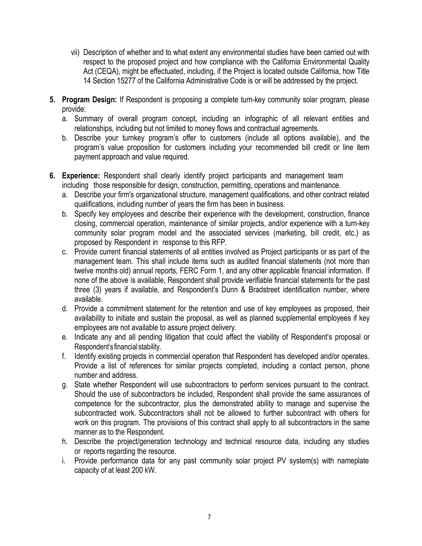- vii) Description of whether and to what extent any environmental studies have been carried out with respect to the proposed project and how compliance with the California Environmental Quality Act (CEQA), might be effectuated, including, if the Project is located outside California, how Title 14 Section 15277 of the California Administrative Code is or will be addressed by the project.
- **5. Program Design:** If Respondent is proposing a complete turn-key community solar program, please provide:
	- a. Summary of overall program concept, including an infographic of all relevant entities and relationships, including but not limited to money flows and contractual agreements.
	- b. Describe your turnkey program"s offer to customers (include all options available), and the program"s value proposition for customers including your recommended bill credit or line item payment approach and value required.
- **6. Experience:** Respondent shall clearly identify project participants and management team including those responsible for design, construction, permitting, operations and maintenance.
	- a. Describe your firm's organizational structure, management qualifications, and other contract related qualifications, including number of years the firm has been in business.
	- b. Specify key employees and describe their experience with the development, construction, finance closing, commercial operation, maintenance of similar projects, and/or experience with a turn-key community solar program model and the associated services (marketing, bill credit, etc.) as proposed by Respondent in response to this RFP.
	- c. Provide current financial statements of all entities involved as Project participants or as part of the management team. This shall include items such as audited financial statements (not more than twelve months old) annual reports, FERC Form 1, and any other applicable financial information. If none of the above is available, Respondent shall provide verifiable financial statements for the past three (3) years if available, and Respondent's Dunn & Bradstreet identification number, where available.
	- d. Provide a commitment statement for the retention and use of key employees as proposed, their availability to initiate and sustain the proposal, as well as planned supplemental employees if key employees are not available to assure project delivery.
	- e. Indicate any and all pending litigation that could affect the viability of Respondent"s proposal or Respondent"s financial stability.
	- f. Identify existing projects in commercial operation that Respondent has developed and/or operates. Provide a list of references for similar projects completed, including a contact person, phone number and address.
	- g. State whether Respondent will use subcontractors to perform services pursuant to the contract. Should the use of subcontractors be included, Respondent shall provide the same assurances of competence for the subcontractor, plus the demonstrated ability to manage and supervise the subcontracted work. Subcontractors shall not be allowed to further subcontract with others for work on this program. The provisions of this contract shall apply to all subcontractors in the same manner as to the Respondent.
	- h. Describe the project/generation technology and technical resource data, including any studies or reports regarding the resource.
	- i. Provide performance data for any past community solar project PV system(s) with nameplate capacity of at least 200 kW.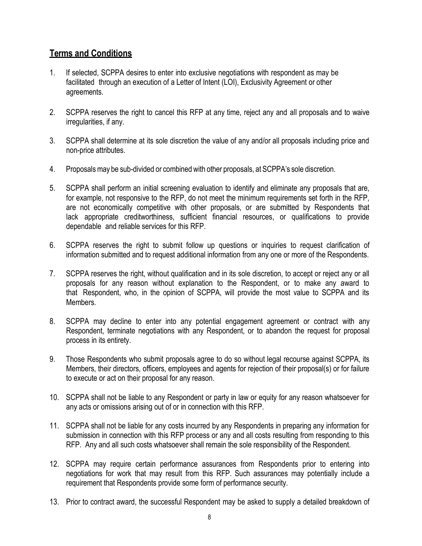#### **Terms and Conditions**

- 1. If selected, SCPPA desires to enter into exclusive negotiations with respondent as may be facilitated through an execution of a Letter of Intent (LOI), Exclusivity Agreement or other agreements.
- 2. SCPPA reserves the right to cancel this RFP at any time, reject any and all proposals and to waive irregularities, if any.
- 3. SCPPA shall determine at its sole discretion the value of any and/or all proposals including price and non-price attributes.
- 4. Proposalsmay be sub-divided or combined with other proposals, at SCPPA"s sole discretion.
- 5. SCPPA shall perform an initial screening evaluation to identify and eliminate any proposals that are, for example, not responsive to the RFP, do not meet the minimum requirements set forth in the RFP, are not economically competitive with other proposals, or are submitted by Respondents that lack appropriate creditworthiness, sufficient financial resources, or qualifications to provide dependable and reliable services for this RFP.
- 6. SCPPA reserves the right to submit follow up questions or inquiries to request clarification of information submitted and to request additional information from any one or more of the Respondents.
- 7. SCPPA reserves the right, without qualification and in its sole discretion, to accept or reject any or all proposals for any reason without explanation to the Respondent, or to make any award to that Respondent, who, in the opinion of SCPPA, will provide the most value to SCPPA and its Members.
- 8. SCPPA may decline to enter into any potential engagement agreement or contract with any Respondent, terminate negotiations with any Respondent, or to abandon the request for proposal process in its entirety.
- 9. Those Respondents who submit proposals agree to do so without legal recourse against SCPPA, its Members, their directors, officers, employees and agents for rejection of their proposal(s) or for failure to execute or act on their proposal for any reason.
- 10. SCPPA shall not be liable to any Respondent or party in law or equity for any reason whatsoever for any acts or omissions arising out of or in connection with this RFP.
- 11. SCPPA shall not be liable for any costs incurred by any Respondents in preparing any information for submission in connection with this RFP process or any and all costs resulting from responding to this RFP. Any and all such costs whatsoever shall remain the sole responsibility of the Respondent.
- 12. SCPPA may require certain performance assurances from Respondents prior to entering into negotiations for work that may result from this RFP. Such assurances may potentially include a requirement that Respondents provide some form of performance security.
- 13. Prior to contract award, the successful Respondent may be asked to supply a detailed breakdown of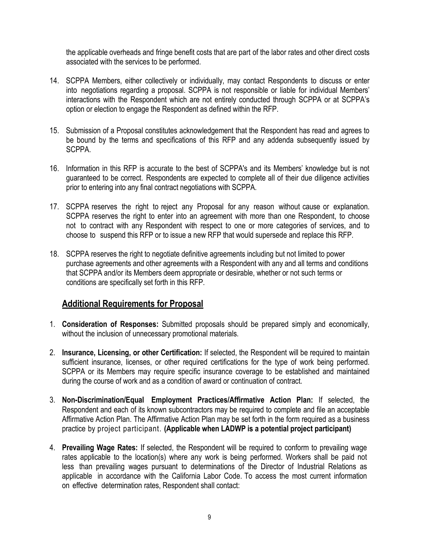the applicable overheads and fringe benefit costs that are part of the labor rates and other direct costs associated with the services to be performed.

- 14. SCPPA Members, either collectively or individually, may contact Respondents to discuss or enter into negotiations regarding a proposal. SCPPA is not responsible or liable for individual Members" interactions with the Respondent which are not entirely conducted through SCPPA or at SCPPA"s option or election to engage the Respondent as defined within the RFP.
- 15. Submission of a Proposal constitutes acknowledgement that the Respondent has read and agrees to be bound by the terms and specifications of this RFP and any addenda subsequently issued by SCPPA.
- 16. Information in this RFP is accurate to the best of SCPPA's and its Members" knowledge but is not guaranteed to be correct. Respondents are expected to complete all of their due diligence activities prior to entering into any final contract negotiations with SCPPA.
- 17. SCPPA reserves the right to reject any Proposal for any reason without cause or explanation. SCPPA reserves the right to enter into an agreement with more than one Respondent, to choose not to contract with any Respondent with respect to one or more categories of services, and to choose to suspend this RFP or to issue a new RFP that would supersede and replace this RFP.
- 18. SCPPA reserves the right to negotiate definitive agreements including but not limited to power purchase agreements and other agreements with a Respondent with any and all terms and conditions that SCPPA and/or its Members deem appropriate or desirable, whether or not such terms or conditions are specifically set forth in this RFP.

#### **Additional Requirements for Proposal**

- 1. **Consideration of Responses:** Submitted proposals should be prepared simply and economically, without the inclusion of unnecessary promotional materials.
- 2. **Insurance, Licensing, or other Certification:** If selected, the Respondent will be required to maintain sufficient insurance, licenses, or other required certifications for the type of work being performed. SCPPA or its Members may require specific insurance coverage to be established and maintained during the course of work and as a condition of award or continuation of contract.
- 3. **Non-Discrimination/Equal Employment Practices/Affirmative Action Plan:** If selected, the Respondent and each of its known subcontractors may be required to complete and file an acceptable Affirmative Action Plan. The Affirmative Action Plan may be set forth in the form required as a business practice by project participant. **(Applicable when LADWP is a potential project participant)**
- 4. **Prevailing Wage Rates:** If selected, the Respondent will be required to conform to prevailing wage rates applicable to the location(s) where any work is being performed. Workers shall be paid not less than prevailing wages pursuant to determinations of the Director of Industrial Relations as applicable in accordance with the California Labor Code. To access the most current information on effective determination rates, Respondent shall contact: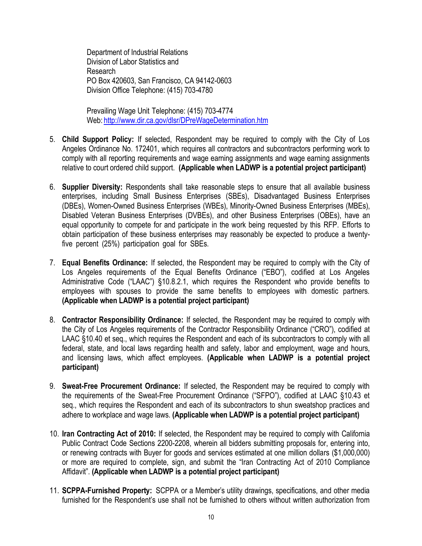Department of Industrial Relations Division of Labor Statistics and Research PO Box 420603, San Francisco, CA 94142-0603 Division Office Telephone: (415) 703-4780

Prevailing Wage Unit Telephone: (415) 703-4774 Web: <http://www.dir.ca.gov/dlsr/DPreWageDetermination.htm>

- 5. **Child Support Policy:** If selected, Respondent may be required to comply with the City of Los Angeles Ordinance No. 172401, which requires all contractors and subcontractors performing work to comply with all reporting requirements and wage earning assignments and wage earning assignments relative to court ordered child support. **(Applicable when LADWP is a potential project participant)**
- 6. **Supplier Diversity:** Respondents shall take reasonable steps to ensure that all available business enterprises, including Small Business Enterprises (SBEs), Disadvantaged Business Enterprises (DBEs), Women-Owned Business Enterprises (WBEs), Minority-Owned Business Enterprises (MBEs), Disabled Veteran Business Enterprises (DVBEs), and other Business Enterprises (OBEs), have an equal opportunity to compete for and participate in the work being requested by this RFP. Efforts to obtain participation of these business enterprises may reasonably be expected to produce a twentyfive percent (25%) participation goal for SBEs.
- 7. **Equal Benefits Ordinance:** If selected, the Respondent may be required to comply with the City of Los Angeles requirements of the Equal Benefits Ordinance ("EBO"), codified at Los Angeles Administrative Code ("LAAC") §10.8.2.1, which requires the Respondent who provide benefits to employees with spouses to provide the same benefits to employees with domestic partners. **(Applicable when LADWP is a potential project participant)**
- 8. **Contractor Responsibility Ordinance:** If selected, the Respondent may be required to comply with the City of Los Angeles requirements of the Contractor Responsibility Ordinance ("CRO"), codified at LAAC §10.40 et seq., which requires the Respondent and each of its subcontractors to comply with all federal, state, and local laws regarding health and safety, labor and employment, wage and hours, and licensing laws, which affect employees. **(Applicable when LADWP is a potential project participant)**
- 9. **Sweat-Free Procurement Ordinance:** If selected, the Respondent may be required to comply with the requirements of the Sweat-Free Procurement Ordinance ("SFPO"), codified at LAAC §10.43 et seq., which requires the Respondent and each of its subcontractors to shun sweatshop practices and adhere to workplace and wage laws. **(Applicable when LADWP is a potential project participant)**
- 10. **Iran Contracting Act of 2010:** If selected, the Respondent may be required to comply with California Public Contract Code Sections 2200-2208, wherein all bidders submitting proposals for, entering into, or renewing contracts with Buyer for goods and services estimated at one million dollars (\$1,000,000) or more are required to complete, sign, and submit the "Iran Contracting Act of 2010 Compliance Affidavit". **(Applicable when LADWP is a potential project participant)**
- 11. **SCPPA-Furnished Property:** SCPPA or a Member"s utility drawings, specifications, and other media furnished for the Respondent's use shall not be furnished to others without written authorization from